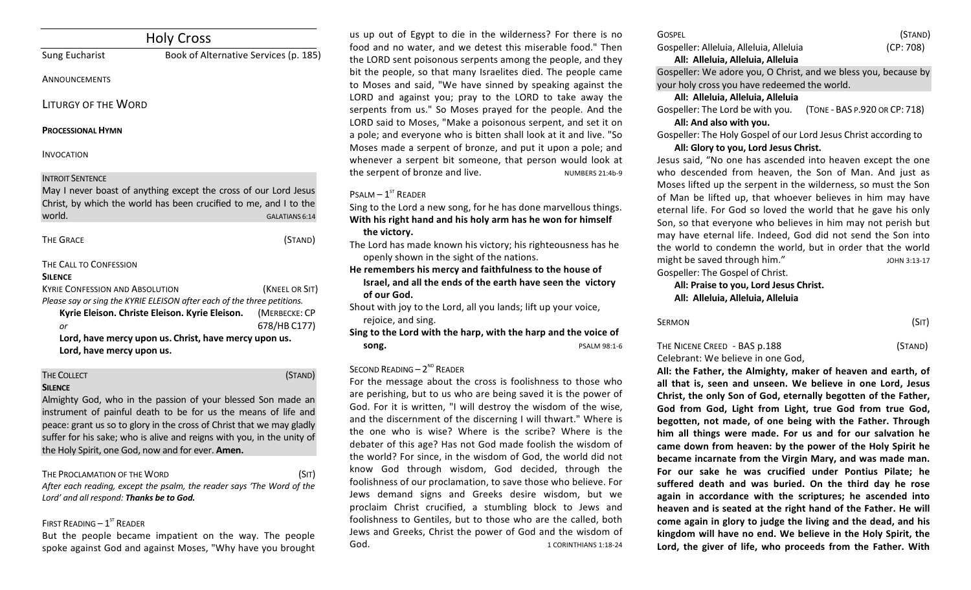| <b>Holy Cross</b>                               |                                                                                                                                                                                    |                                                 |
|-------------------------------------------------|------------------------------------------------------------------------------------------------------------------------------------------------------------------------------------|-------------------------------------------------|
| <b>Sung Eucharist</b>                           | Book of Alternative Services (p. 185)                                                                                                                                              |                                                 |
| ANNOUNCEMENTS                                   |                                                                                                                                                                                    |                                                 |
| LITURGY OF THE WORD                             |                                                                                                                                                                                    |                                                 |
| <b>PROCESSIONAL HYMN</b>                        |                                                                                                                                                                                    |                                                 |
| <b>INVOCATION</b>                               |                                                                                                                                                                                    |                                                 |
| <b>INTROIT SENTENCE</b><br>world.               | May I never boast of anything except the cross of our Lord Jesus<br>Christ, by which the world has been crucified to me, and I to the                                              | <b>GALATIANS 6:14</b>                           |
| <b>THE GRACE</b>                                |                                                                                                                                                                                    | (STAND)                                         |
| THE CALL TO CONFESSION<br><b>SILENCE</b>        |                                                                                                                                                                                    |                                                 |
| <b>KYRIF CONFESSION AND ABSOLUTION</b><br>or    | Please say or sing the KYRIE ELEISON after each of the three petitions.<br>Kyrie Eleison. Christe Eleison. Kyrie Eleison.<br>Lord, have mercy upon us. Christ, have mercy upon us. | (KNEEL OR SIT)<br>(MERBECKE: CP<br>678/HB C177) |
|                                                 |                                                                                                                                                                                    |                                                 |
| Lord, have mercy upon us.<br><b>THE COLLECT</b> |                                                                                                                                                                                    | (STAND)                                         |

#### **SILENCE**

Almighty God, who in the passion of your blessed Son made an instrument of painful death to be for us the means of life and peace: grant us so to glory in the cross of Christ that we may gladly suffer for his sake; who is alive and reigns with you, in the unity of the Holy Spirit, one God, now and for ever. Amen.

THE PROCLAMATION OF THE WORD **CONTROLLATION** (SIT) After each reading, except the psalm, the reader says 'The Word of the Lord' and all respond: Thanks be to God.

## FIRST READING  $-1^\text{ST}$  READER

But the people became impatient on the way. The people spoke against God and against Moses, "Why have you brought

us up out of Egypt to die in the wilderness? For there is no food and no water, and we detest this miserable food." Then the LORD sent poisonous serpents among the people, and they bit the people, so that many Israelites died. The people came to Moses and said, "We have sinned by speaking against the LORD and against you; pray to the LORD to take away the serpents from us." So Moses prayed for the people. And the LORD said to Moses, "Make a poisonous serpent, and set it on a pole; and everyone who is bitten shall look at it and live. "So Moses made a serpent of bronze, and put it upon a pole; and whenever a serpent bit someone, that person would look at the serpent of bronze and live. Numbers 21:4b-9

## $P$ SALM  $-1$ <sup>ST</sup> READER

Sing to the Lord a new song, for he has done marvellous things. With his right hand and his holy arm has he won for himself the victory.

The Lord has made known his victory; his righteousness has he openly shown in the sight of the nations.

He remembers his mercy and faithfulness to the house of **Israel, and all the ends of the earth have seen the victory** of our God.

Shout with joy to the Lord, all you lands; lift up your voice, rejoice, and sing.

Sing to the Lord with the harp, with the harp and the voice of **song.** PSALM 98:1-6

## $S$ ECOND READING –  $2^{ND}$  READER

For the message about the cross is foolishness to those who are perishing, but to us who are being saved it is the power of God. For it is written, "I will destroy the wisdom of the wise, and the discernment of the discerning I will thwart." Where is the one who is wise? Where is the scribe? Where is the debater of this age? Has not God made foolish the wisdom of the world? For since, in the wisdom of God, the world did not know God through wisdom, God decided, through the foolishness of our proclamation, to save those who believe. For Jews demand signs and Greeks desire wisdom, but we proclaim Christ crucified, a stumbling block to Jews and foolishness to Gentiles, but to those who are the called, both Jews and Greeks, Christ the power of God and the wisdom of God. 6. The Secret Secret Secret Secret Secret Secret Secret Secret Secret Secret Secret Secret Secret Secret Secret Secret Secret Secret Secret Secret Secret Secret Secret Secret Secret Secret Secret Secret Secret Secret

| <b>GOSPEL</b>                           | (STAND)  |
|-----------------------------------------|----------|
| Gospeller: Alleluia, Alleluia, Alleluia | (CP:708) |
| All: Alleluia, Alleluia, Alleluia       |          |

Gospeller: We adore you, O Christ, and we bless you, because by your holy cross you have redeemed the world.

### **All: Alleluia, Alleluia, Alleluia**

Gospeller: The Lord be with you. (TONE - BAS P.920 OR CP: 718) All: And also with you.

Gospeller: The Holy Gospel of our Lord Jesus Christ according to

## All: Glory to you, Lord Jesus Christ.

Jesus said, "No one has ascended into heaven except the one who descended from heaven, the Son of Man. And just as Moses lifted up the serpent in the wilderness, so must the Son of Man be lifted up, that whoever believes in him may have eternal life. For God so loved the world that he gave his only Son, so that everyone who believes in him may not perish but may have eternal life. Indeed, God did not send the Son into the world to condemn the world, but in order that the world might be saved through him." The same series of the same series of the same series of the same series of the s Gospeller: The Gospel of Christ.

All: Praise to you, Lord Jesus Christ. **All: Alleluia, Alleluia, Alleluia**

| Sermon | (SIT) |  |
|--------|-------|--|
|        |       |  |

## THE NICENE CREED - BAS p.188 (STAND) Celebrant: We believe in one God,

All: the Father, the Almighty, maker of heaven and earth, of all that is, seen and unseen. We believe in one Lord, Jesus Christ, the only Son of God, eternally begotten of the Father, God from God, Light from Light, true God from true God, begotten, not made, of one being with the Father. Through him all things were made. For us and for our salvation he came down from heaven: by the power of the Holy Spirit he **became incarnate from the Virgin Mary, and was made man.** For our sake he was crucified under Pontius Pilate: he suffered death and was buried. On the third day he rose again in accordance with the scriptures; he ascended into heaven and is seated at the right hand of the Father. He will come again in glory to judge the living and the dead, and his kingdom will have no end. We believe in the Holy Spirit, the Lord, the giver of life, who proceeds from the Father. With